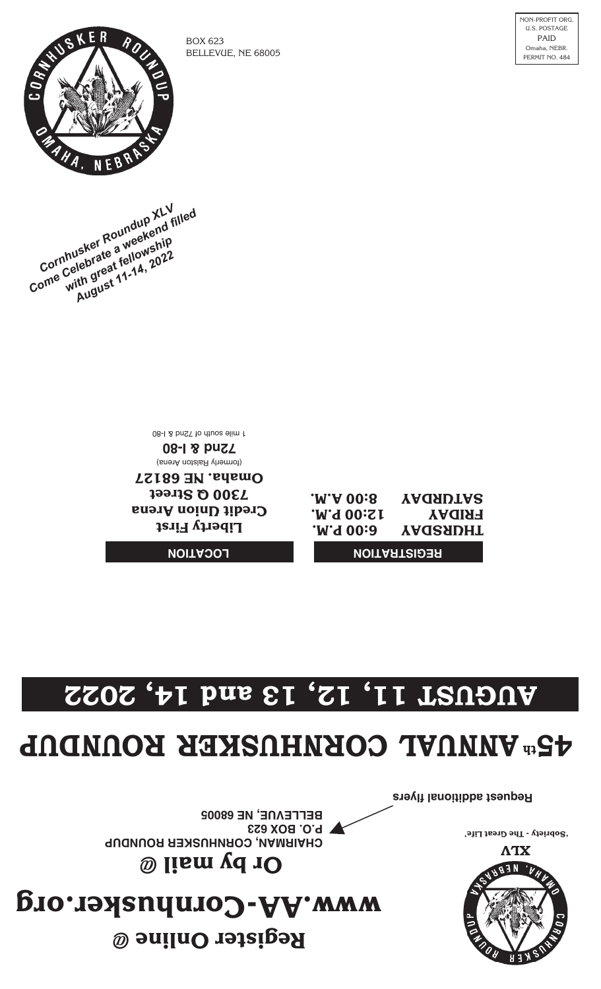

**'Sobriety - The Great Life'**

### **ww.AA-Cornhusker.org w er Online @ t egis R**

**y mail @ b Or** 

**CHAIRMAN, CORNHUSKER ROUNDUP P.O. BOX 623** BELLEVUE, NE 68005

**Request additional flyers**

# **ANNUAL 54 ROUNDUP CORNHUSKER th**

# **AUGUST 11, 12, 13 and 14, 2022**

#### **LOCATION**

**Liberty First Credit Union Arena 7300 Q Street Omaha. NE 68127** (formerly Ralston Arena)

**72nd & I-80** 129 nd 8 has 1 hours of liming

#### **REGISTRATION**

**THURSDAY 6:00 P.M. FRIDAY 12:00 P.M. SATURDAY 8:00 A.M.**

**Cornhusker Roundup XLV**<br>Cornhusker Roundup XLV<br>Cornhusker a weekenip<br>ome with great fellowship<br>with great 11-14, 2022 Cornhusker Roundup XL<br>Cornhusker Roundue<br>Corne Celebrate a weekend filled<br>Come with great 11-14, 2022 **August 11-14, 2022**<br>**August 11-14, 2022**<br>August 11-14, 2022



BOX 623 BELLEVUE, NE 68005 NON-PROFIT ORG. U.S. POSTAGE PAID Omaha, NEBR. PERMIT NO. 484